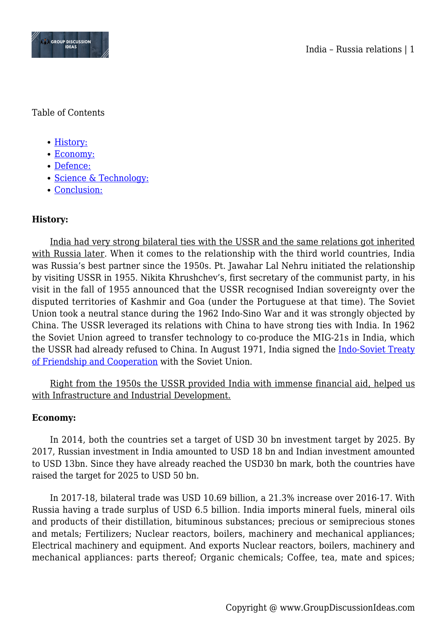

Table of Contents

- [History:](#page--1-0)
- [Economy:](#page--1-0)
- [Defence:](#page--1-0)
- [Science & Technology:](#page--1-0)
- [Conclusion:](#page--1-0)

# **History:**

India had very strong bilateral ties with the USSR and the same relations got inherited with Russia later. When it comes to the relationship with the third world countries, India was Russia's best partner since the 1950s. Pt. Jawahar Lal Nehru initiated the relationship by visiting USSR in 1955. Nikita Khrushchev's, first secretary of the communist party, in his visit in the fall of 1955 announced that the USSR recognised Indian sovereignty over the disputed territories of Kashmir and Goa (under the Portuguese at that time). The Soviet Union took a neutral stance during the 1962 Indo-Sino War and it was strongly objected by China. The USSR leveraged its relations with China to have strong ties with India. In 1962 the Soviet Union agreed to transfer technology to co-produce the MIG-21s in India, which the USSR had already refused to China. In August 1971, India signed the [Indo-Soviet Treaty](https://en.wikipedia.org/wiki/Indo-Soviet_Treaty_of_Friendship_and_Cooperation) [of Friendship and Cooperation](https://en.wikipedia.org/wiki/Indo-Soviet_Treaty_of_Friendship_and_Cooperation) with the Soviet Union.

Right from the 1950s the USSR provided India with immense financial aid, helped us with Infrastructure and Industrial Development.

## **Economy:**

In 2014, both the countries set a target of USD 30 bn investment target by 2025. By 2017, Russian investment in India amounted to USD 18 bn and Indian investment amounted to USD 13bn. Since they have already reached the USD30 bn mark, both the countries have raised the target for 2025 to USD 50 bn.

In 2017-18, bilateral trade was USD 10.69 billion, a 21.3% increase over 2016-17. With Russia having a trade surplus of USD 6.5 billion. India imports mineral fuels, mineral oils and products of their distillation, bituminous substances; precious or semiprecious stones and metals; Fertilizers; Nuclear reactors, boilers, machinery and mechanical appliances; Electrical machinery and equipment. And exports Nuclear reactors, boilers, machinery and mechanical appliances: parts thereof; Organic chemicals; Coffee, tea, mate and spices;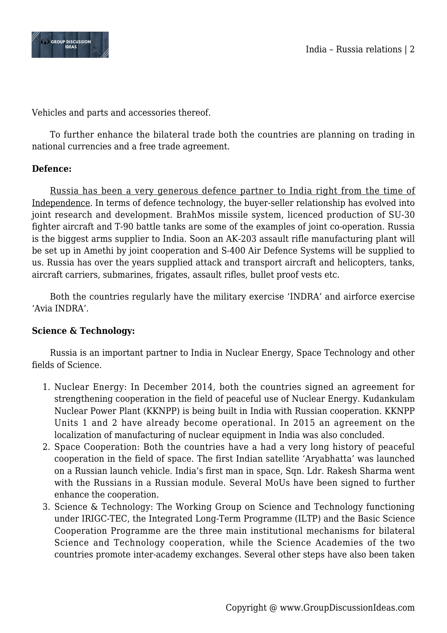



Vehicles and parts and accessories thereof.

To further enhance the bilateral trade both the countries are planning on trading in national currencies and a free trade agreement.

### **Defence:**

Russia has been a very generous defence partner to India right from the time of Independence. In terms of defence technology, the buyer-seller relationship has evolved into joint research and development. BrahMos missile system, licenced production of SU-30 fighter aircraft and T-90 battle tanks are some of the examples of joint co-operation. Russia is the biggest arms supplier to India. Soon an AK-203 assault rifle manufacturing plant will be set up in Amethi by joint cooperation and S-400 Air Defence Systems will be supplied to us. Russia has over the years supplied attack and transport aircraft and helicopters, tanks, aircraft carriers, submarines, frigates, assault rifles, bullet proof vests etc.

Both the countries regularly have the military exercise 'INDRA' and airforce exercise 'Avia INDRA'.

## **Science & Technology:**

Russia is an important partner to India in Nuclear Energy, Space Technology and other fields of Science.

- 1. Nuclear Energy: In December 2014, both the countries signed an agreement for strengthening cooperation in the field of peaceful use of Nuclear Energy. Kudankulam Nuclear Power Plant (KKNPP) is being built in India with Russian cooperation. KKNPP Units 1 and 2 have already become operational. In 2015 an agreement on the localization of manufacturing of nuclear equipment in India was also concluded.
- 2. Space Cooperation: Both the countries have a had a very long history of peaceful cooperation in the field of space. The first Indian satellite 'Aryabhatta' was launched on a Russian launch vehicle. India's first man in space, Sqn. Ldr. Rakesh Sharma went with the Russians in a Russian module. Several MoUs have been signed to further enhance the cooperation.
- 3. Science & Technology: The Working Group on Science and Technology functioning under IRIGC-TEC, the Integrated Long-Term Programme (ILTP) and the Basic Science Cooperation Programme are the three main institutional mechanisms for bilateral Science and Technology cooperation, while the Science Academies of the two countries promote inter-academy exchanges. Several other steps have also been taken